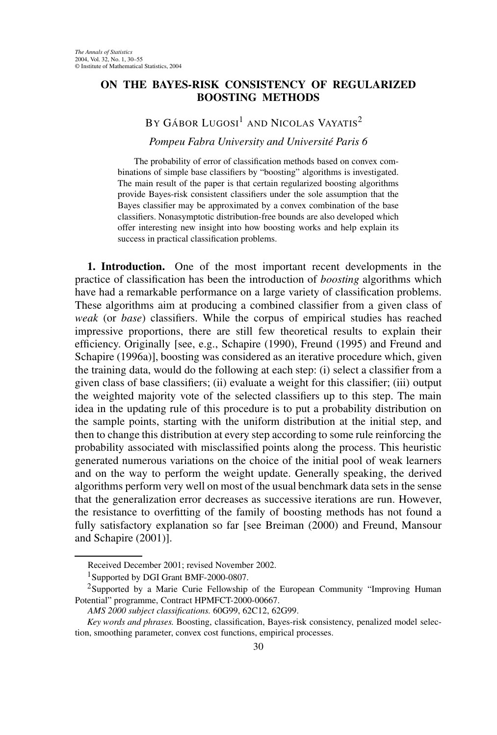## **ON THE BAYES-RISK CONSISTENCY OF REGULARIZED BOOSTING METHODS**

## BY GÁBOR LUGOSI<sup>1</sup> AND NICOLAS VAYATIS<sup>2</sup>

*Pompeu Fabra University and Université Paris 6*

The probability of error of classification methods based on convex combinations of simple base classifiers by "boosting" algorithms is investigated. The main result of the paper is that certain regularized boosting algorithms provide Bayes-risk consistent classifiers under the sole assumption that the Bayes classifier may be approximated by a convex combination of the base classifiers. Nonasymptotic distribution-free bounds are also developed which offer interesting new insight into how boosting works and help explain its success in practical classification problems.

**1. Introduction.** One of the most important recent developments in the practice of classification has been the introduction of *boosting* algorithms which have had a remarkable performance on a large variety of classification problems. These algorithms aim at producing a combined classifier from a given class of *weak* (or *base*) classifiers. While the corpus of empirical studies has reached impressive proportions, there are still few theoretical results to explain their efficiency. Originally [see, e.g., Schapire (1990), Freund (1995) and Freund and Schapire (1996a)], boosting was considered as an iterative procedure which, given the training data, would do the following at each step: (i) select a classifier from a given class of base classifiers; (ii) evaluate a weight for this classifier; (iii) output the weighted majority vote of the selected classifiers up to this step. The main idea in the updating rule of this procedure is to put a probability distribution on the sample points, starting with the uniform distribution at the initial step, and then to change this distribution at every step according to some rule reinforcing the probability associated with misclassified points along the process. This heuristic generated numerous variations on the choice of the initial pool of weak learners and on the way to perform the weight update. Generally speaking, the derived algorithms perform very well on most of the usual benchmark data sets in the sense that the generalization error decreases as successive iterations are run. However, the resistance to overfitting of the family of boosting methods has not found a fully satisfactory explanation so far [see Breiman (2000) and Freund, Mansour and Schapire (2001)].

Received December 2001; revised November 2002.

<sup>&</sup>lt;sup>1</sup>Supported by DGI Grant BMF-2000-0807.

<sup>&</sup>lt;sup>2</sup>Supported by a Marie Curie Fellowship of the European Community "Improving Human Potential" programme, Contract HPMFCT-2000-00667.

*AMS 2000 subject classifications.* 60G99, 62C12, 62G99.

*Key words and phrases.* Boosting, classification, Bayes-risk consistency, penalized model selection, smoothing parameter, convex cost functions, empirical processes.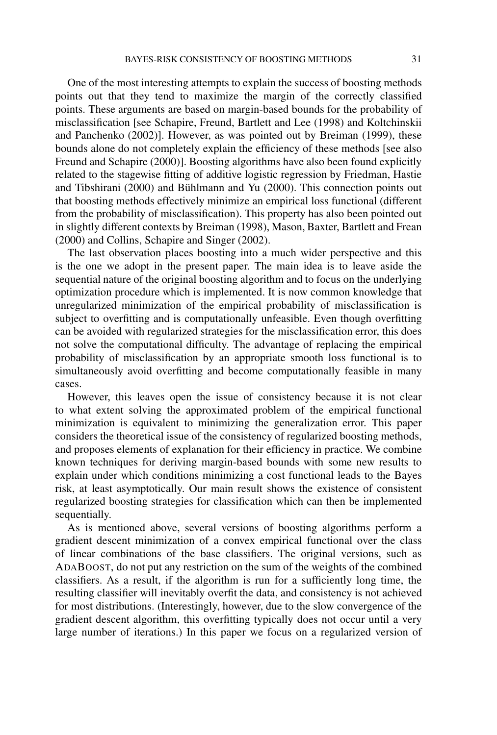One of the most interesting attempts to explain the success of boosting methods points out that they tend to maximize the margin of the correctly classified points. These arguments are based on margin-based bounds for the probability of misclassification [see Schapire, Freund, Bartlett and Lee (1998) and Koltchinskii and Panchenko (2002)]. However, as was pointed out by Breiman (1999), these bounds alone do not completely explain the efficiency of these methods [see also Freund and Schapire (2000)]. Boosting algorithms have also been found explicitly related to the stagewise fitting of additive logistic regression by Friedman, Hastie and Tibshirani (2000) and Bühlmann and Yu (2000). This connection points out that boosting methods effectively minimize an empirical loss functional (different from the probability of misclassification). This property has also been pointed out in slightly different contexts by Breiman (1998), Mason, Baxter, Bartlett and Frean (2000) and Collins, Schapire and Singer (2002).

The last observation places boosting into a much wider perspective and this is the one we adopt in the present paper. The main idea is to leave aside the sequential nature of the original boosting algorithm and to focus on the underlying optimization procedure which is implemented. It is now common knowledge that unregularized minimization of the empirical probability of misclassification is subject to overfitting and is computationally unfeasible. Even though overfitting can be avoided with regularized strategies for the misclassification error, this does not solve the computational difficulty. The advantage of replacing the empirical probability of misclassification by an appropriate smooth loss functional is to simultaneously avoid overfitting and become computationally feasible in many cases.

However, this leaves open the issue of consistency because it is not clear to what extent solving the approximated problem of the empirical functional minimization is equivalent to minimizing the generalization error. This paper considers the theoretical issue of the consistency of regularized boosting methods, and proposes elements of explanation for their efficiency in practice. We combine known techniques for deriving margin-based bounds with some new results to explain under which conditions minimizing a cost functional leads to the Bayes risk, at least asymptotically. Our main result shows the existence of consistent regularized boosting strategies for classification which can then be implemented sequentially.

As is mentioned above, several versions of boosting algorithms perform a gradient descent minimization of a convex empirical functional over the class of linear combinations of the base classifiers. The original versions, such as ADABOOST, do not put any restriction on the sum of the weights of the combined classifiers. As a result, if the algorithm is run for a sufficiently long time, the resulting classifier will inevitably overfit the data, and consistency is not achieved for most distributions. (Interestingly, however, due to the slow convergence of the gradient descent algorithm, this overfitting typically does not occur until a very large number of iterations.) In this paper we focus on a regularized version of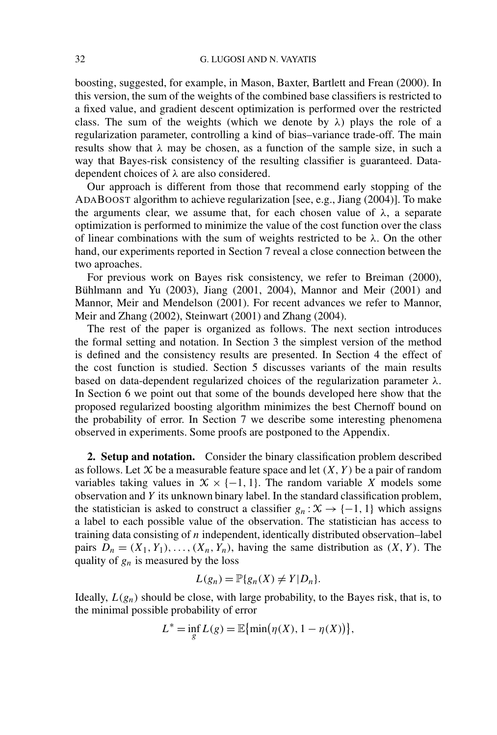boosting, suggested, for example, in Mason, Baxter, Bartlett and Frean (2000). In this version, the sum of the weights of the combined base classifiers is restricted to a fixed value, and gradient descent optimization is performed over the restricted class. The sum of the weights (which we denote by *λ*) plays the role of a regularization parameter, controlling a kind of bias–variance trade-off. The main results show that  $\lambda$  may be chosen, as a function of the sample size, in such a way that Bayes-risk consistency of the resulting classifier is guaranteed. Datadependent choices of *λ* are also considered.

Our approach is different from those that recommend early stopping of the ADABOOST algorithm to achieve regularization [see, e.g., Jiang (2004)]. To make the arguments clear, we assume that, for each chosen value of  $\lambda$ , a separate optimization is performed to minimize the value of the cost function over the class of linear combinations with the sum of weights restricted to be *λ*. On the other hand, our experiments reported in Section 7 reveal a close connection between the two aproaches.

For previous work on Bayes risk consistency, we refer to Breiman (2000), Bühlmann and Yu (2003), Jiang (2001, 2004), Mannor and Meir (2001) and Mannor, Meir and Mendelson (2001). For recent advances we refer to Mannor, Meir and Zhang (2002), Steinwart (2001) and Zhang (2004).

The rest of the paper is organized as follows. The next section introduces the formal setting and notation. In Section 3 the simplest version of the method is defined and the consistency results are presented. In Section 4 the effect of the cost function is studied. Section 5 discusses variants of the main results based on data-dependent regularized choices of the regularization parameter *λ*. In Section 6 we point out that some of the bounds developed here show that the proposed regularized boosting algorithm minimizes the best Chernoff bound on the probability of error. In Section 7 we describe some interesting phenomena observed in experiments. Some proofs are postponed to the Appendix.

**2. Setup and notation.** Consider the binary classification problem described as follows. Let  $X$  be a measurable feature space and let  $(X, Y)$  be a pair of random variables taking values in  $X \times \{-1, 1\}$ . The random variable *X* models some observation and *Y* its unknown binary label. In the standard classification problem, the statistician is asked to construct a classifier  $g_n : \mathcal{X} \to \{-1, 1\}$  which assigns a label to each possible value of the observation. The statistician has access to training data consisting of *n* independent, identically distributed observation–label pairs  $D_n = (X_1, Y_1), \ldots, (X_n, Y_n)$ , having the same distribution as  $(X, Y)$ . The quality of *gn* is measured by the loss

$$
L(g_n) = \mathbb{P}\{g_n(X) \neq Y|D_n\}.
$$

Ideally,  $L(g_n)$  should be close, with large probability, to the Bayes risk, that is, to the minimal possible probability of error

$$
L^* = \inf_g L(g) = \mathbb{E}\{\min(\eta(X), 1 - \eta(X))\},\
$$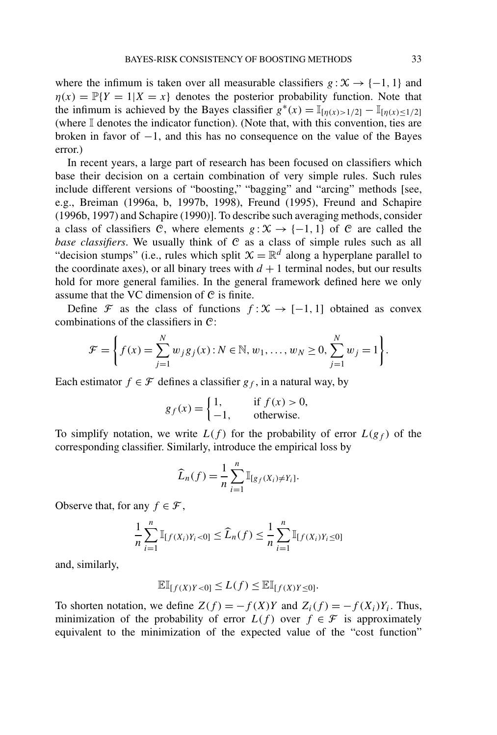where the infimum is taken over all measurable classifiers  $g : X \rightarrow \{-1, 1\}$  and  $\eta(x) = \mathbb{P}{Y = 1 | X = x}$  denotes the posterior probability function. Note that the infimum is achieved by the Bayes classifier  $g^*(x) = \mathbb{I}_{[n(x)>1/2]} - \mathbb{I}_{[n(x)\leq 1/2]}$ (where I denotes the indicator function). (Note that, with this convention, ties are broken in favor of  $-1$ , and this has no consequence on the value of the Bayes error.)

In recent years, a large part of research has been focused on classifiers which base their decision on a certain combination of very simple rules. Such rules include different versions of "boosting," "bagging" and "arcing" methods [see, e.g., Breiman (1996a, b, 1997b, 1998), Freund (1995), Freund and Schapire (1996b, 1997) and Schapire (1990)]. To describe such averaging methods, consider a class of classifiers C, where elements  $g: X \rightarrow \{-1, 1\}$  of C are called the *base classifiers*. We usually think of C as a class of simple rules such as all "decision stumps" (i.e., rules which split  $\mathcal{X} = \mathbb{R}^d$  along a hyperplane parallel to the coordinate axes), or all binary trees with  $d + 1$  terminal nodes, but our results hold for more general families. In the general framework defined here we only assume that the VC dimension of C is finite.

Define  $\mathcal F$  as the class of functions  $f: \mathcal X \to [-1, 1]$  obtained as convex combinations of the classifiers in C:

$$
\mathcal{F} = \left\{ f(x) = \sum_{j=1}^{N} w_j g_j(x) : N \in \mathbb{N}, w_1, \dots, w_N \ge 0, \sum_{j=1}^{N} w_j = 1 \right\}.
$$

Each estimator  $f \in \mathcal{F}$  defines a classifier  $g_f$ , in a natural way, by

$$
g_f(x) = \begin{cases} 1, & \text{if } f(x) > 0, \\ -1, & \text{otherwise.} \end{cases}
$$

To simplify notation, we write  $L(f)$  for the probability of error  $L(g_f)$  of the corresponding classifier. Similarly, introduce the empirical loss by

$$
\widehat{L}_n(f) = \frac{1}{n} \sum_{i=1}^n \mathbb{I}_{[g_f(X_i) \neq Y_i]}.
$$

Observe that, for any  $f \in \mathcal{F}$ ,

$$
\frac{1}{n}\sum_{i=1}^{n}\mathbb{I}_{[f(X_i)Y_i < 0]} \leq \widehat{L}_n(f) \leq \frac{1}{n}\sum_{i=1}^{n}\mathbb{I}_{[f(X_i)Y_i \leq 0]}
$$

and, similarly,

$$
\mathbb{E}\mathbb{I}_{[f(X)Y<0]}\leq L(f)\leq \mathbb{E}\mathbb{I}_{[f(X)Y\leq 0]}.
$$

To shorten notation, we define  $Z(f) = -f(X)Y$  and  $Z_i(f) = -f(X_i)Y_i$ . Thus, minimization of the probability of error  $L(f)$  over  $f \in \mathcal{F}$  is approximately equivalent to the minimization of the expected value of the "cost function"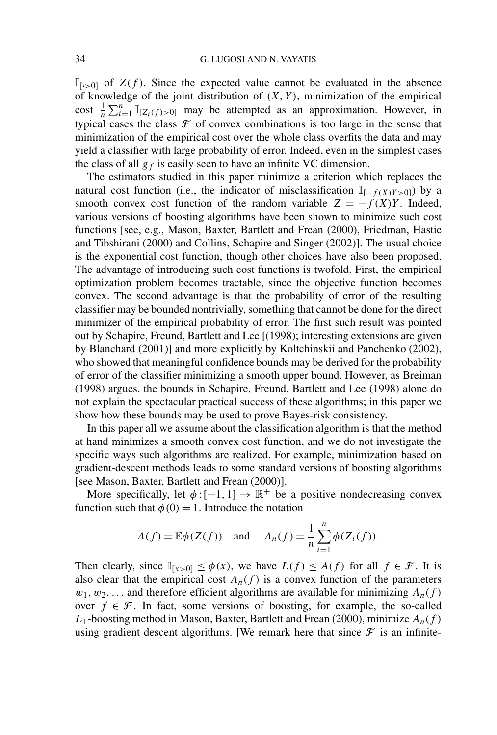$\mathbb{I}_{[\cdot>0]}$  of  $Z(f)$ . Since the expected value cannot be evaluated in the absence of knowledge of the joint distribution of  $(X, Y)$ , minimization of the empirical cost  $\frac{1}{n} \sum_{i=1}^{n} \mathbb{I}_{[Z_i(f)>0]}$  may be attempted as an approximation. However, in typical cases the class  $\mathcal F$  of convex combinations is too large in the sense that minimization of the empirical cost over the whole class overfits the data and may yield a classifier with large probability of error. Indeed, even in the simplest cases the class of all  $g_f$  is easily seen to have an infinite VC dimension.

The estimators studied in this paper minimize a criterion which replaces the natural cost function (i.e., the indicator of misclassification  $\mathbb{I}_{[-f(X)Y > 0]}$ ) by a smooth convex cost function of the random variable  $Z = -f(X)Y$ . Indeed, various versions of boosting algorithms have been shown to minimize such cost functions [see, e.g., Mason, Baxter, Bartlett and Frean (2000), Friedman, Hastie and Tibshirani (2000) and Collins, Schapire and Singer (2002)]. The usual choice is the exponential cost function, though other choices have also been proposed. The advantage of introducing such cost functions is twofold. First, the empirical optimization problem becomes tractable, since the objective function becomes convex. The second advantage is that the probability of error of the resulting classifier may be bounded nontrivially, something that cannot be done for the direct minimizer of the empirical probability of error. The first such result was pointed out by Schapire, Freund, Bartlett and Lee [(1998); interesting extensions are given by Blanchard (2001)] and more explicitly by Koltchinskii and Panchenko (2002), who showed that meaningful confidence bounds may be derived for the probability of error of the classifier minimizing a smooth upper bound. However, as Breiman (1998) argues, the bounds in Schapire, Freund, Bartlett and Lee (1998) alone do not explain the spectacular practical success of these algorithms; in this paper we show how these bounds may be used to prove Bayes-risk consistency.

In this paper all we assume about the classification algorithm is that the method at hand minimizes a smooth convex cost function, and we do not investigate the specific ways such algorithms are realized. For example, minimization based on gradient-descent methods leads to some standard versions of boosting algorithms [see Mason, Baxter, Bartlett and Frean (2000)].

More specifically, let  $\phi$  : [-1, 1]  $\rightarrow \mathbb{R}^+$  be a positive nondecreasing convex function such that  $\phi(0) = 1$ . Introduce the notation

$$
A(f) = \mathbb{E}\phi(Z(f)) \quad \text{and} \quad A_n(f) = \frac{1}{n}\sum_{i=1}^n \phi(Z_i(f)).
$$

Then clearly, since  $\mathbb{I}_{[x>0]} \leq \phi(x)$ , we have  $L(f) \leq A(f)$  for all  $f \in \mathcal{F}$ . It is also clear that the empirical cost  $A_n(f)$  is a convex function of the parameters  $w_1, w_2, \ldots$  and therefore efficient algorithms are available for minimizing  $A_n(f)$ over  $f \in \mathcal{F}$ . In fact, some versions of boosting, for example, the so-called *L*1-boosting method in Mason, Baxter, Bartlett and Frean (2000), minimize *An(f )* using gradient descent algorithms. [We remark here that since  $\mathcal F$  is an infinite-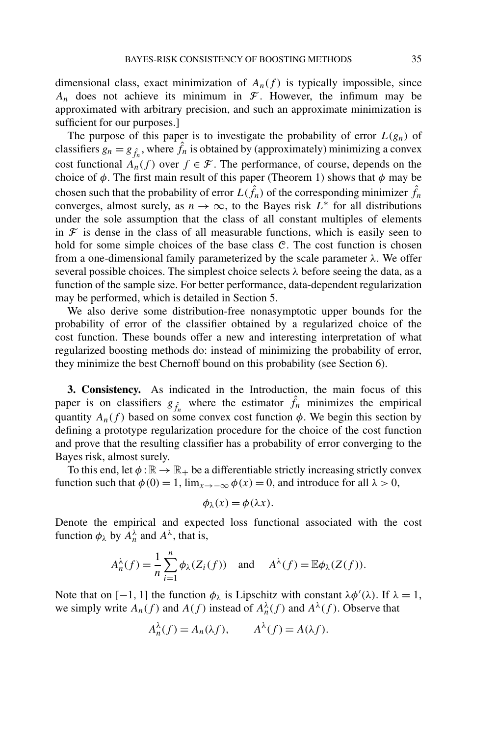dimensional class, exact minimization of  $A_n(f)$  is typically impossible, since  $A_n$  does not achieve its minimum in  $\mathcal F$ . However, the infimum may be approximated with arbitrary precision, and such an approximate minimization is sufficient for our purposes.]

The purpose of this paper is to investigate the probability of error  $L(g_n)$  of classifiers  $g_n = g_{\hat{f}_n}$ , where  $\hat{f}_n$  is obtained by (approximately) minimizing a convex cost functional  $A_n(f)$  over  $f \in \mathcal{F}$ . The performance, of course, depends on the choice of  $\phi$ . The first main result of this paper (Theorem 1) shows that  $\phi$  may be chosen such that the probability of error  $L(\hat{f}_n)$  of the corresponding minimizer  $\hat{f}_n$ converges, almost surely, as  $n \to \infty$ , to the Bayes risk  $\overrightarrow{L^*}$  for all distributions under the sole assumption that the class of all constant multiples of elements in  $\mathcal F$  is dense in the class of all measurable functions, which is easily seen to hold for some simple choices of the base class  $C$ . The cost function is chosen from a one-dimensional family parameterized by the scale parameter *λ*. We offer several possible choices. The simplest choice selects *λ* before seeing the data, as a function of the sample size. For better performance, data-dependent regularization may be performed, which is detailed in Section 5.

We also derive some distribution-free nonasymptotic upper bounds for the probability of error of the classifier obtained by a regularized choice of the cost function. These bounds offer a new and interesting interpretation of what regularized boosting methods do: instead of minimizing the probability of error, they minimize the best Chernoff bound on this probability (see Section 6).

**3. Consistency.** As indicated in the Introduction, the main focus of this paper is on classifiers  $g_{\hat{f}_n}$  where the estimator  $\hat{f}_n$  minimizes the empirical quantity  $A_n(f)$  based on some convex cost function  $\phi$ . We begin this section by defining a prototype regularization procedure for the choice of the cost function and prove that the resulting classifier has a probability of error converging to the Bayes risk, almost surely.

To this end, let  $\phi : \mathbb{R} \to \mathbb{R}_+$  be a differentiable strictly increasing strictly convex function such that  $\phi(0) = 1$ ,  $\lim_{x \to -\infty} \phi(x) = 0$ , and introduce for all  $\lambda > 0$ ,

$$
\phi_{\lambda}(x) = \phi(\lambda x).
$$

Denote the empirical and expected loss functional associated with the cost function  $\phi_{\lambda}$  by  $A_n^{\lambda}$  and  $A^{\lambda}$ , that is,

$$
A_n^{\lambda}(f) = \frac{1}{n} \sum_{i=1}^n \phi_{\lambda}(Z_i(f)) \text{ and } A^{\lambda}(f) = \mathbb{E}\phi_{\lambda}(Z(f)).
$$

Note that on [-1, 1] the function  $\phi_{\lambda}$  is Lipschitz with constant  $\lambda \phi'(\lambda)$ . If  $\lambda = 1$ , we simply write  $A_n(f)$  and  $A(f)$  instead of  $A_n^{\lambda}(f)$  and  $A^{\lambda}(f)$ . Observe that

$$
A_n^{\lambda}(f) = A_n(\lambda f), \qquad A^{\lambda}(f) = A(\lambda f).
$$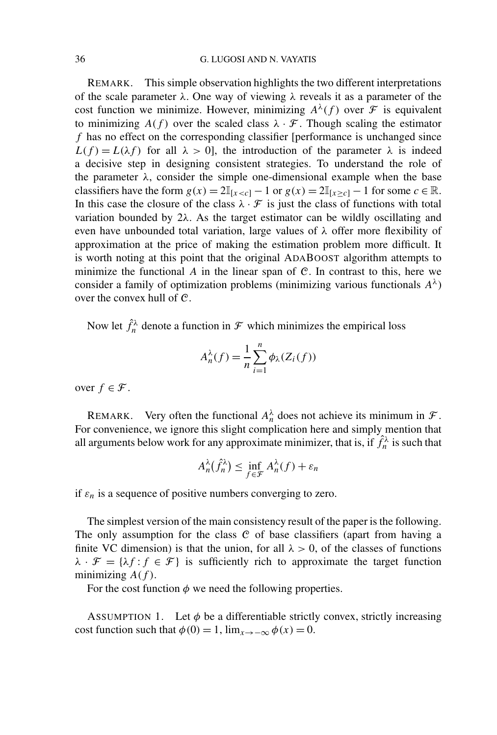REMARK. This simple observation highlights the two different interpretations of the scale parameter  $\lambda$ . One way of viewing  $\lambda$  reveals it as a parameter of the cost function we minimize. However, minimizing  $A^{\lambda}(f)$  over  $\mathcal F$  is equivalent to minimizing  $A(f)$  over the scaled class  $\lambda \cdot \mathcal{F}$ . Though scaling the estimator *f* has no effect on the corresponding classifier [performance is unchanged since  $L(f) = L(\lambda f)$  for all  $\lambda > 0$ , the introduction of the parameter  $\lambda$  is indeed a decisive step in designing consistent strategies. To understand the role of the parameter  $\lambda$ , consider the simple one-dimensional example when the base classifiers have the form  $g(x) = 2\mathbb{I}_{[x < c]} - 1$  or  $g(x) = 2\mathbb{I}_{[x \ge c]} - 1$  for some  $c \in \mathbb{R}$ . In this case the closure of the class  $\lambda \cdot \mathcal{F}$  is just the class of functions with total variation bounded by 2*λ*. As the target estimator can be wildly oscillating and even have unbounded total variation, large values of *λ* offer more flexibility of approximation at the price of making the estimation problem more difficult. It is worth noting at this point that the original ADABOOST algorithm attempts to minimize the functional *A* in the linear span of C. In contrast to this, here we consider a family of optimization problems (minimizing various functionals *Aλ*) over the convex hull of C.

Now let  $\hat{f}_n^{\lambda}$  denote a function in  $\mathcal F$  which minimizes the empirical loss

$$
A_n^{\lambda}(f) = \frac{1}{n} \sum_{i=1}^n \phi_{\lambda}(Z_i(f))
$$

over  $f \in \mathcal{F}$ .

REMARK. Very often the functional  $A_n^{\lambda}$  does not achieve its minimum in  $\mathcal{F}$ . For convenience, we ignore this slight complication here and simply mention that all arguments below work for any approximate minimizer, that is, if  $\hat{f}_n^{\lambda}$  is such that

$$
A_n^{\lambda}(\hat{f}_n^{\lambda}) \le \inf_{f \in \mathcal{F}} A_n^{\lambda}(f) + \varepsilon_n
$$

if  $\varepsilon_n$  is a sequence of positive numbers converging to zero.

The simplest version of the main consistency result of the paper is the following. The only assumption for the class  $C$  of base classifiers (apart from having a finite VC dimension) is that the union, for all  $\lambda > 0$ , of the classes of functions  $\lambda \cdot \mathcal{F} = {\lambda f : f \in \mathcal{F}}$  is sufficiently rich to approximate the target function minimizing  $A(f)$ .

For the cost function  $\phi$  we need the following properties.

ASSUMPTION 1. Let  $\phi$  be a differentiable strictly convex, strictly increasing cost function such that  $\phi(0) = 1$ ,  $\lim_{x \to -\infty} \phi(x) = 0$ .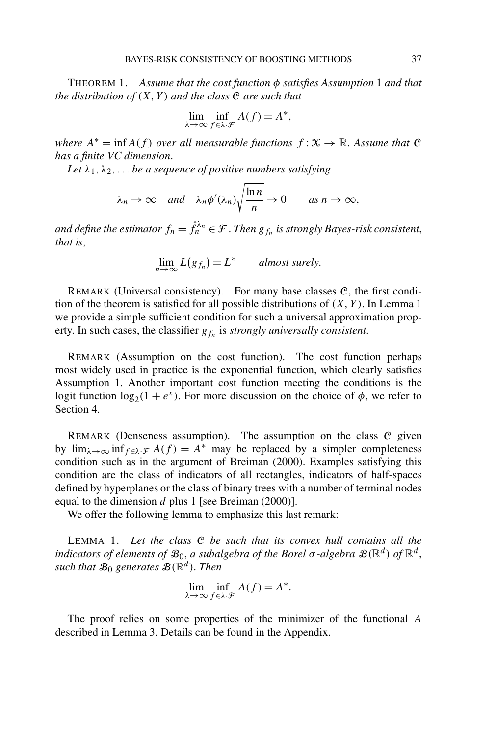THEOREM 1. *Assume that the cost function φ satisfies Assumption* 1 *and that the distribution of*  $(X, Y)$  *and the class*  $C$  *are such that* 

$$
\lim_{\lambda \to \infty} \inf_{f \in \lambda \cdot \mathcal{F}} A(f) = A^*,
$$

*where*  $A^* = \inf A(f)$  *over all measurable functions*  $f: X \to \mathbb{R}$ . Assume that C *has a finite VC dimension*.

Let  $\lambda_1, \lambda_2, \ldots$  *be a sequence of positive numbers satisfying* 

$$
\lambda_n \to \infty
$$
 and  $\lambda_n \phi'(\lambda_n) \sqrt{\frac{\ln n}{n}} \to 0$  as  $n \to \infty$ ,

*and define the estimator*  $f_n = \hat{f}_n^{\lambda_n} \in \mathcal{F}$ . *Then*  $g_{f_n}$  *is strongly Bayes-risk consistent, that is*,

$$
\lim_{n\to\infty} L(g_{f_n}) = L^* \qquad almost surely.
$$

REMARK (Universal consistency). For many base classes  $C$ , the first condition of the theorem is satisfied for all possible distributions of  $(X, Y)$ . In Lemma 1 we provide a simple sufficient condition for such a universal approximation property. In such cases, the classifier  $g_{fn}$  is *strongly universally consistent*.

REMARK (Assumption on the cost function). The cost function perhaps most widely used in practice is the exponential function, which clearly satisfies Assumption 1. Another important cost function meeting the conditions is the logit function  $\log_2(1 + e^x)$ . For more discussion on the choice of  $\phi$ , we refer to Section 4.

REMARK (Denseness assumption). The assumption on the class  $C$  given by  $\lim_{\lambda \to \infty} \inf_{f \in \lambda \cdot \mathcal{F}} A(f) = A^*$  may be replaced by a simpler completeness condition such as in the argument of Breiman (2000). Examples satisfying this condition are the class of indicators of all rectangles, indicators of half-spaces defined by hyperplanes or the class of binary trees with a number of terminal nodes equal to the dimension *d* plus 1 [see Breiman (2000)].

We offer the following lemma to emphasize this last remark:

LEMMA 1. *Let the class* C *be such that its convex hull contains all the indicators of elements of*  $\mathcal{B}_0$ , *a subalgebra of the Borel*  $\sigma$ *-algebra*  $\mathcal{B}(\mathbb{R}^d)$  *of*  $\mathbb{R}^d$ , *such that*  $\mathcal{B}_0$  *generates*  $\mathcal{B}(\mathbb{R}^d)$ *. Then* 

$$
\lim_{\lambda \to \infty} \inf_{f \in \lambda \cdot \mathcal{F}} A(f) = A^*.
$$

The proof relies on some properties of the minimizer of the functional *A* described in Lemma 3. Details can be found in the Appendix.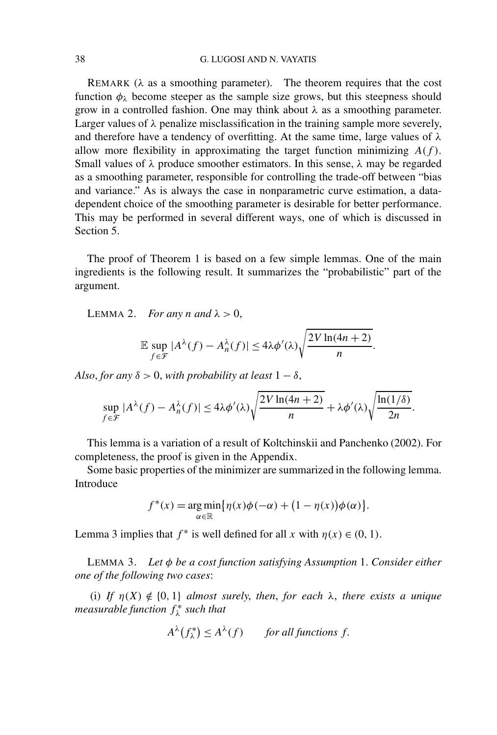REMARK (*λ* as a smoothing parameter). The theorem requires that the cost function  $\phi_{\lambda}$  become steeper as the sample size grows, but this steepness should grow in a controlled fashion. One may think about *λ* as a smoothing parameter. Larger values of  $\lambda$  penalize misclassification in the training sample more severely, and therefore have a tendency of overfitting. At the same time, large values of *λ* allow more flexibility in approximating the target function minimizing  $A(f)$ . Small values of *λ* produce smoother estimators. In this sense, *λ* may be regarded as a smoothing parameter, responsible for controlling the trade-off between "bias and variance." As is always the case in nonparametric curve estimation, a datadependent choice of the smoothing parameter is desirable for better performance. This may be performed in several different ways, one of which is discussed in Section 5.

The proof of Theorem 1 is based on a few simple lemmas. One of the main ingredients is the following result. It summarizes the "probabilistic" part of the argument.

LEMMA 2. *For any n* and  $\lambda > 0$ ,

$$
\mathbb{E}\sup_{f\in\mathcal{F}}|A^{\lambda}(f)-A^{\lambda}_n(f)|\leq 4\lambda\phi'(\lambda)\sqrt{\frac{2V\ln(4n+2)}{n}}.
$$

*Also, for any*  $\delta > 0$ , *with probability at least*  $1 - \delta$ ,

$$
\sup_{f \in \mathcal{F}} |A^{\lambda}(f) - A^{\lambda}_n(f)| \le 4\lambda \phi'(\lambda) \sqrt{\frac{2V \ln(4n+2)}{n}} + \lambda \phi'(\lambda) \sqrt{\frac{\ln(1/\delta)}{2n}}.
$$

This lemma is a variation of a result of Koltchinskii and Panchenko (2002). For completeness, the proof is given in the Appendix.

Some basic properties of the minimizer are summarized in the following lemma. Introduce

$$
f^*(x) = \underset{\alpha \in \mathbb{R}}{\arg \min} \{ \eta(x)\phi(-\alpha) + (1 - \eta(x))\phi(\alpha) \}.
$$

Lemma 3 implies that  $f^*$  is well defined for all *x* with  $\eta(x) \in (0, 1)$ .

LEMMA 3. *Let φ be a cost function satisfying Assumption* 1. *Consider either one of the following two cases*:

(i) *If*  $\eta(X) \notin \{0, 1\}$  *almost surely, then, for each*  $\lambda$ *, there exists a unique measurable function f* <sup>∗</sup> *<sup>λ</sup> such that*

$$
A^{\lambda}(f_{\lambda}^*) \le A^{\lambda}(f) \qquad \text{for all functions } f.
$$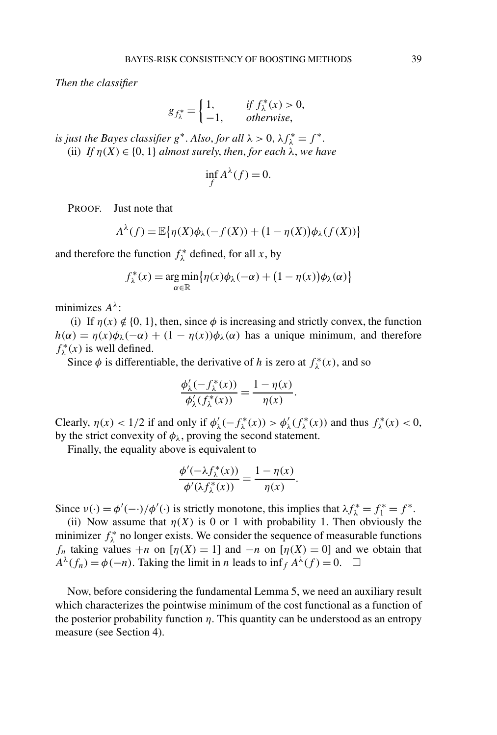*Then the classifier*

$$
g_{f_{\lambda}^*} = \begin{cases} 1, & \text{if } f_{\lambda}^*(x) > 0, \\ -1, & \text{otherwise,} \end{cases}
$$

*is just the Bayes classifier*  $g^*$ . *Also, for all*  $\lambda > 0$ ,  $\lambda f^*_{\lambda} = f^*$ . (ii) *If*  $\eta(X) \in \{0, 1\}$  *almost surely, then, for each*  $\lambda$ *, we have* 

$$
\inf_{f} A^{\lambda}(f) = 0.
$$

PROOF. Just note that

$$
A^{\lambda}(f) = \mathbb{E}\big\{\eta(X)\phi_{\lambda}(-f(X)) + (1 - \eta(X))\phi_{\lambda}(f(X))\big\}
$$

and therefore the function  $f^*_{\lambda}$  defined, for all *x*, by

$$
f_{\lambda}^{*}(x) = \underset{\alpha \in \mathbb{R}}{\arg \min} \{ \eta(x)\phi_{\lambda}(-\alpha) + (1 - \eta(x))\phi_{\lambda}(\alpha) \}
$$

minimizes *Aλ*:

(i) If  $\eta(x) \notin \{0, 1\}$ , then, since  $\phi$  is increasing and strictly convex, the function  $h(\alpha) = \eta(x)\phi_{\lambda}(-\alpha) + (1 - \eta(x))\phi_{\lambda}(\alpha)$  has a unique minimum, and therefore  $f^*_{\lambda}(x)$  is well defined.

Since  $\phi$  is differentiable, the derivative of *h* is zero at  $f^*_{\lambda}(x)$ , and so

$$
\frac{\phi'_{\lambda}(-f_{\lambda}^*(x))}{\phi'_{\lambda}(f_{\lambda}^*(x))} = \frac{1 - \eta(x)}{\eta(x)}.
$$

Clearly,  $\eta(x) < 1/2$  if and only if  $\phi'_{\lambda}(-f_{\lambda}^*(x)) > \phi'_{\lambda}(f_{\lambda}^*(x))$  and thus  $f_{\lambda}^*(x) < 0$ , by the strict convexity of  $\phi_{\lambda}$ , proving the second statement.

Finally, the equality above is equivalent to

$$
\frac{\phi'(-\lambda f_{\lambda}^*(x))}{\phi'(\lambda f_{\lambda}^*(x))} = \frac{1 - \eta(x)}{\eta(x)}.
$$

Since  $v(\cdot) = \phi'(-\cdot)/\phi'(\cdot)$  is strictly monotone, this implies that  $\lambda f_{\lambda}^* = f_1^* = f^*$ .

(ii) Now assume that  $\eta(X)$  is 0 or 1 with probability 1. Then obviously the minimizer  $f_{\lambda}^*$  no longer exists. We consider the sequence of measurable functions *f<sub>n</sub>* taking values +*n* on [ $n(X) = 1$ ] and −*n* on [ $n(X) = 0$ ] and we obtain that  $A^{\lambda}(f_n) = \phi(-n)$ . Taking the limit in *n* leads to inf<sub>f</sub>  $A^{\lambda}(f) = 0$ .  $\Box$ 

Now, before considering the fundamental Lemma 5, we need an auxiliary result which characterizes the pointwise minimum of the cost functional as a function of the posterior probability function  $\eta$ . This quantity can be understood as an entropy measure (see Section 4).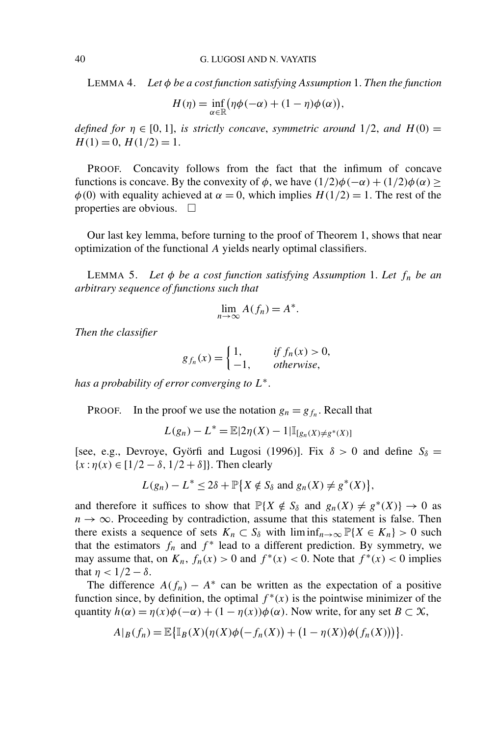LEMMA 4. *Let φ be a cost function satisfying Assumption* 1. *Then the function*

$$
H(\eta) = \inf_{\alpha \in \mathbb{R}} (\eta \phi(-\alpha) + (1 - \eta) \phi(\alpha)),
$$

*defined for*  $\eta \in [0, 1]$ , *is strictly concave, symmetric around* 1/2, *and*  $H(0)$  =  $H(1) = 0, H(1/2) = 1.$ 

PROOF. Concavity follows from the fact that the infimum of concave functions is concave. By the convexity of  $\phi$ , we have  $(1/2)\phi(-\alpha) + (1/2)\phi(\alpha) \ge$  $\phi$ (0) with equality achieved at  $\alpha = 0$ , which implies  $H(1/2) = 1$ . The rest of the properties are obvious.  $\square$ 

Our last key lemma, before turning to the proof of Theorem 1, shows that near optimization of the functional *A* yields nearly optimal classifiers.

LEMMA 5. *Let φ be a cost function satisfying Assumption* 1. *Let fn be an arbitrary sequence of functions such that*

$$
\lim_{n \to \infty} A(f_n) = A^*.
$$

*Then the classifier*

$$
g_{f_n}(x) = \begin{cases} 1, & \text{if } f_n(x) > 0, \\ -1, & \text{otherwise,} \end{cases}
$$

*has a probability of error converging to L*∗.

PROOF. In the proof we use the notation  $g_n = g_{f_n}$ . Recall that

$$
L(g_n) - L^* = \mathbb{E}|2\eta(X) - 1|\mathbb{I}_{[g_n(X) \neq g^*(X)]}
$$

[see, e.g., Devroye, Györfi and Lugosi (1996)]. Fix  $\delta > 0$  and define  $S_{\delta} =$  ${x : \eta(x) \in [1/2 - \delta, 1/2 + \delta]}$ . Then clearly

$$
L(g_n) - L^* \le 2\delta + \mathbb{P}\big\{X \notin S_\delta \text{ and } g_n(X) \ne g^*(X)\big\},\
$$

and therefore it suffices to show that  $\mathbb{P}\{X \notin S_\delta \text{ and } g_n(X) \neq g^*(X)\} \to 0$  as  $n \to \infty$ . Proceeding by contradiction, assume that this statement is false. Then there exists a sequence of sets  $K_n \subset S_\delta$  with  $\liminf_{n\to\infty} \mathbb{P}\{X \in K_n\} > 0$  such that the estimators  $f_n$  and  $f^*$  lead to a different prediction. By symmetry, we may assume that, on  $K_n$ ,  $f_n(x) > 0$  and  $f^*(x) < 0$ . Note that  $f^*(x) < 0$  implies that  $\eta$  <  $1/2 - \delta$ .

The difference  $A(f_n) - A^*$  can be written as the expectation of a positive function since, by definition, the optimal  $f^*(x)$  is the pointwise minimizer of the quantity  $h(\alpha) = \eta(x)\phi(-\alpha) + (1 - \eta(x))\phi(\alpha)$ . Now write, for any set  $B \subset \mathcal{X}$ ,

$$
A|_B(f_n) = \mathbb{E}\big\{\mathbb{I}_B(X)\big(\eta(X)\phi\big(-f_n(X)\big) + \big(1-\eta(X)\big)\phi\big(f_n(X)\big)\big)\big\}.
$$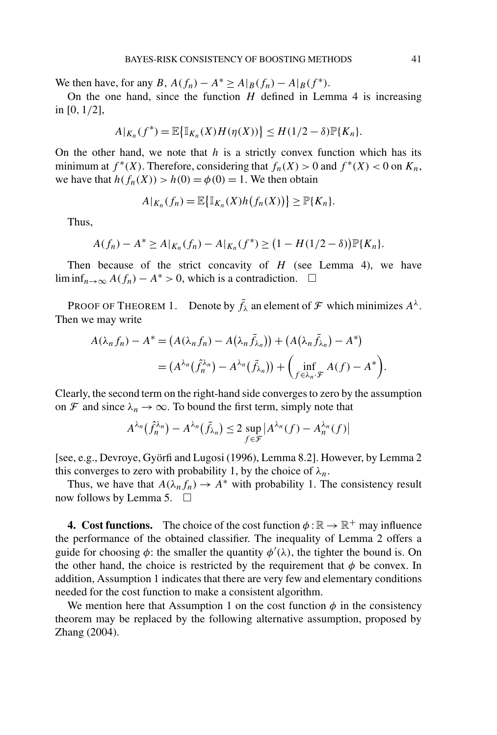We then have, for any *B*,  $A(f_n) - A^* \ge A|_B(f_n) - A|_B(f^*)$ .

On the one hand, since the function *H* defined in Lemma 4 is increasing in [0*,* 1*/*2],

$$
A|_{K_n}(f^*) = \mathbb{E}\big\{\mathbb{I}_{K_n}(X)H(\eta(X))\big\} \le H(1/2 - \delta)\mathbb{P}\{K_n\}.
$$

On the other hand, we note that *h* is a strictly convex function which has its minimum at  $f^*(X)$ . Therefore, considering that  $f_n(X) > 0$  and  $f^*(X) < 0$  on  $K_n$ , we have that  $h(f_n(X)) > h(0) = \phi(0) = 1$ . We then obtain

$$
A|_{K_n}(f_n)=\mathbb{E}\big\{\mathbb{I}_{K_n}(X)h(f_n(X))\big\}\geq \mathbb{P}\{K_n\}.
$$

Thus,

$$
A(f_n) - A^* \ge A|_{K_n}(f_n) - A|_{K_n}(f^*) \ge (1 - H(1/2 - \delta))\mathbb{P}\{K_n\}.
$$

Then because of the strict concavity of *H* (see Lemma 4), we have lim inf<sub>*n*→∞</sub>  $A(f_n) - A^* > 0$ , which is a contradiction.  $\Box$ 

PROOF OF THEOREM 1. Denote by  $\bar{f}_{\lambda}$  an element of  $\mathcal F$  which minimizes  $A^{\lambda}$ . Then we may write

$$
A(\lambda_n f_n) - A^* = (A(\lambda_n f_n) - A(\lambda_n \bar{f}_{\lambda_n})) + (A(\lambda_n \bar{f}_{\lambda_n}) - A^*)
$$
  
= 
$$
(A^{\lambda_n}(\hat{f}_n^{\lambda_n}) - A^{\lambda_n}(\bar{f}_{\lambda_n})) + \left(\inf_{f \in \lambda_n \cdot \mathcal{F}} A(f) - A^*\right).
$$

Clearly, the second term on the right-hand side converges to zero by the assumption on F and since  $\lambda_n \to \infty$ . To bound the first term, simply note that

$$
A^{\lambda_n}(\hat{f}_n^{\lambda_n}) - A^{\lambda_n}(\bar{f}_{\lambda_n}) \le 2 \sup_{f \in \mathcal{F}} |A^{\lambda_n}(f) - A^{\lambda_n}_n(f)|
$$

[see, e.g., Devroye, Györfi and Lugosi (1996), Lemma 8.2]. However, by Lemma 2 this converges to zero with probability 1, by the choice of  $\lambda_n$ .

Thus, we have that  $A(\lambda_n f_n) \to A^*$  with probability 1. The consistency result now follows by Lemma 5.  $\Box$ 

**4. Cost functions.** The choice of the cost function  $\phi : \mathbb{R} \to \mathbb{R}^+$  may influence the performance of the obtained classifier. The inequality of Lemma 2 offers a guide for choosing  $\phi$ : the smaller the quantity  $\phi'(\lambda)$ , the tighter the bound is. On the other hand, the choice is restricted by the requirement that  $\phi$  be convex. In addition, Assumption 1 indicates that there are very few and elementary conditions needed for the cost function to make a consistent algorithm.

We mention here that Assumption 1 on the cost function  $\phi$  in the consistency theorem may be replaced by the following alternative assumption, proposed by Zhang (2004).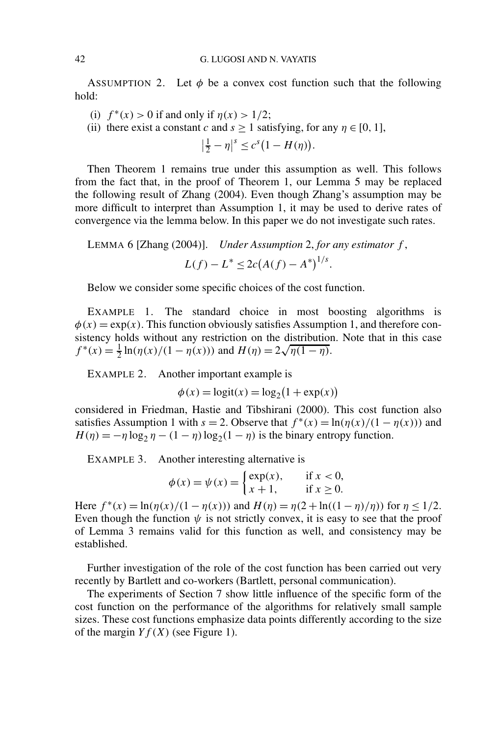ASSUMPTION 2. Let  $\phi$  be a convex cost function such that the following hold:

(i)  $f^*(x) > 0$  if and only if  $\eta(x) > 1/2$ ;

(ii) there exist a constant *c* and  $s > 1$  satisfying, for any  $\eta \in [0, 1]$ ,

$$
\left|\frac{1}{2}-\eta\right|^s \leq c^s\big(1-H(\eta)\big).
$$

Then Theorem 1 remains true under this assumption as well. This follows from the fact that, in the proof of Theorem 1, our Lemma 5 may be replaced the following result of Zhang (2004). Even though Zhang's assumption may be more difficult to interpret than Assumption 1, it may be used to derive rates of convergence via the lemma below. In this paper we do not investigate such rates.

LEMMA 6 [Zhang (2004)]. *Under Assumption* 2, *for any estimator f* ,  $L(f) - L^* \leq 2c(A(f) - A^*)^{1/s}.$ 

Below we consider some specific choices of the cost function.

EXAMPLE 1. The standard choice in most boosting algorithms is  $\phi(x) = \exp(x)$ . This function obviously satisfies Assumption 1, and therefore consistency holds without any restriction on the distribution. Note that in this case sistency noids without any restriction on the distribution  $f^*(x) = \frac{1}{2} \ln(\eta(x)/(1 - \eta(x)))$  and  $H(\eta) = 2\sqrt{\eta(1 - \eta)}$ .

EXAMPLE 2. Another important example is

$$
\phi(x) = \text{logit}(x) = \text{log}_2(1 + \exp(x))
$$

considered in Friedman, Hastie and Tibshirani (2000). This cost function also satisfies Assumption 1 with  $s = 2$ . Observe that  $f^*(x) = \ln(\eta(x)/(1 - \eta(x)))$  and  $H(\eta) = -\eta \log_2 \eta - (1 - \eta) \log_2(1 - \eta)$  is the binary entropy function.

EXAMPLE 3. Another interesting alternative is

$$
\phi(x) = \psi(x) = \begin{cases} \exp(x), & \text{if } x < 0, \\ x+1, & \text{if } x \ge 0. \end{cases}
$$

Here  $f^*(x) = \ln(\eta(x)/(1 - \eta(x)))$  and  $H(\eta) = \eta(2 + \ln((1 - \eta)/\eta))$  for  $\eta \le 1/2$ . Even though the function  $\psi$  is not strictly convex, it is easy to see that the proof of Lemma 3 remains valid for this function as well, and consistency may be established.

Further investigation of the role of the cost function has been carried out very recently by Bartlett and co-workers (Bartlett, personal communication).

The experiments of Section 7 show little influence of the specific form of the cost function on the performance of the algorithms for relatively small sample sizes. These cost functions emphasize data points differently according to the size of the margin  $Yf(X)$  (see Figure 1).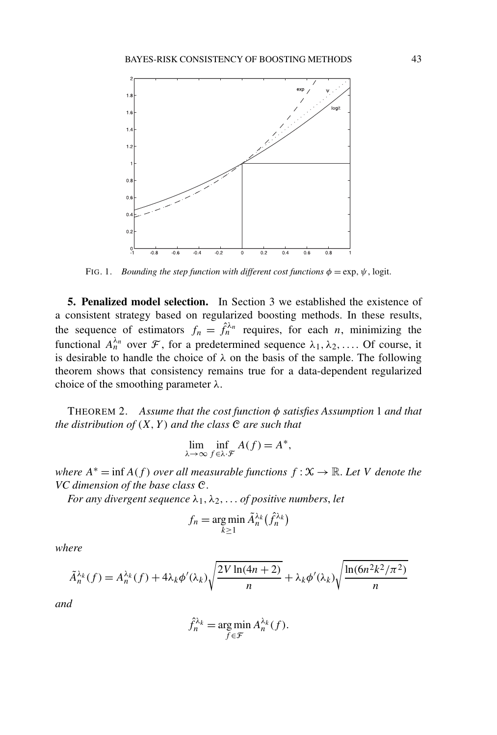

FIG. 1. *Bounding the step function with different cost functions*  $\phi = \exp$ ,  $\psi$ , logit.

**5. Penalized model selection.** In Section 3 we established the existence of a consistent strategy based on regularized boosting methods. In these results, the sequence of estimators  $f_n = \hat{f}_n^{\lambda_n}$  requires, for each *n*, minimizing the functional  $A_n^{\lambda_n}$  over  $\mathcal F$ , for a predetermined sequence  $\lambda_1, \lambda_2, \ldots$  Of course, it is desirable to handle the choice of  $\lambda$  on the basis of the sample. The following theorem shows that consistency remains true for a data-dependent regularized choice of the smoothing parameter *λ*.

THEOREM 2. *Assume that the cost function φ satisfies Assumption* 1 *and that the distribution of (X, Y ) and the class* C *are such that*

$$
\lim_{\lambda \to \infty} \inf_{f \in \lambda \cdot \mathcal{F}} A(f) = A^*,
$$

*where*  $A^* = \inf A(f)$  *over all measurable functions*  $f: X \to \mathbb{R}$ *. Let V denote the VC dimension of the base class* C.

*For any divergent sequence*  $\lambda_1, \lambda_2, \ldots$  *of positive numbers, let* 

$$
f_n = \argmin_{k \ge 1} \tilde{A}_n^{\lambda_k}(\hat{f}_n^{\lambda_k})
$$

*where*

$$
\tilde{A}_{n}^{\lambda_{k}}(f) = A_{n}^{\lambda_{k}}(f) + 4\lambda_{k}\phi'(\lambda_{k})\sqrt{\frac{2V\ln(4n+2)}{n}} + \lambda_{k}\phi'(\lambda_{k})\sqrt{\frac{\ln(6n^{2}k^{2}/\pi^{2})}{n}}
$$

*and*

$$
\hat{f}_n^{\lambda_k} = \underset{f \in \mathcal{F}}{\arg \min} A_n^{\lambda_k}(f).
$$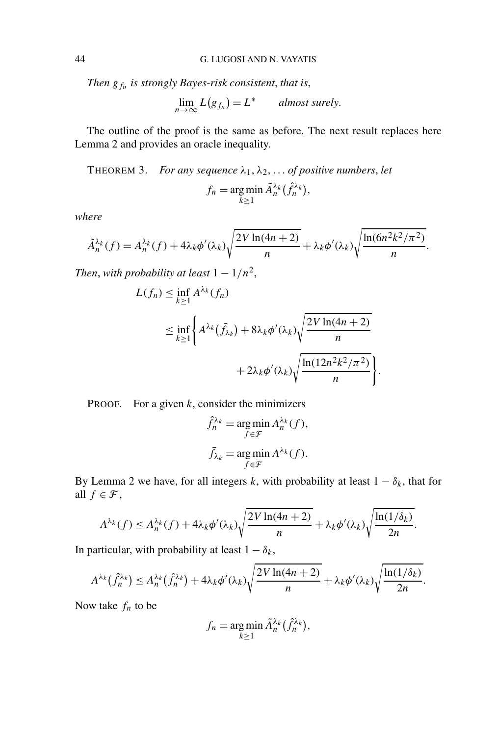*Then gfn is strongly Bayes-risk consistent*, *that is*,

$$
\lim_{n \to \infty} L(g_{f_n}) = L^* \qquad almost \, surely.
$$

The outline of the proof is the same as before. The next result replaces here Lemma 2 and provides an oracle inequality.

THEOREM 3. *For any sequence*  $\lambda_1, \lambda_2, \ldots$  *of positive numbers, let*  $f_n = \arg \min$ *k*≥1  $\tilde{A}_n^{\lambda_k}(\hat{f}_n^{\lambda_k}),$ 

*where*

$$
\tilde{A}_{n}^{\lambda_{k}}(f) = A_{n}^{\lambda_{k}}(f) + 4\lambda_{k}\phi'(\lambda_{k})\sqrt{\frac{2V\ln(4n+2)}{n}} + \lambda_{k}\phi'(\lambda_{k})\sqrt{\frac{\ln(6n^{2}k^{2}/\pi^{2})}{n}}.
$$

*Then, with probability at least*  $1 - 1/n^2$ ,

$$
L(f_n) \leq \inf_{k \geq 1} A^{\lambda_k}(f_n)
$$
  
\n
$$
\leq \inf_{k \geq 1} \left\{ A^{\lambda_k}(\bar{f}_{\lambda_k}) + 8\lambda_k \phi'(\lambda_k) \sqrt{\frac{2V \ln(4n + 2)}{n}} + 2\lambda_k \phi'(\lambda_k) \sqrt{\frac{\ln(12n^2k^2/\pi^2)}{n}} \right\}.
$$

PROOF. For a given *k*, consider the minimizers

$$
\hat{f}_n^{\lambda_k} = \underset{f \in \mathcal{F}}{\arg \min} A_n^{\lambda_k}(f),
$$

$$
\bar{f}_{\lambda_k} = \underset{f \in \mathcal{F}}{\arg \min} A^{\lambda_k}(f).
$$

By Lemma 2 we have, for all integers *k*, with probability at least  $1 - \delta_k$ , that for all  $f \in \mathcal{F}$ ,

$$
A^{\lambda_k}(f) \le A_n^{\lambda_k}(f) + 4\lambda_k \phi'(\lambda_k) \sqrt{\frac{2V\ln(4n+2)}{n}} + \lambda_k \phi'(\lambda_k) \sqrt{\frac{\ln(1/\delta_k)}{2n}}.
$$

In particular, with probability at least  $1 - \delta_k$ ,

$$
A^{\lambda_k}(\hat{f}_n^{\lambda_k}) \le A_n^{\lambda_k}(\hat{f}_n^{\lambda_k}) + 4\lambda_k \phi'(\lambda_k) \sqrt{\frac{2V\ln(4n+2)}{n}} + \lambda_k \phi'(\lambda_k) \sqrt{\frac{\ln(1/\delta_k)}{2n}}.
$$

Now take  $f_n$  to be

$$
f_n = \underset{k \ge 1}{\arg \min} \, \tilde{A}_n^{\lambda_k} \big( \hat{f}_n^{\lambda_k} \big),
$$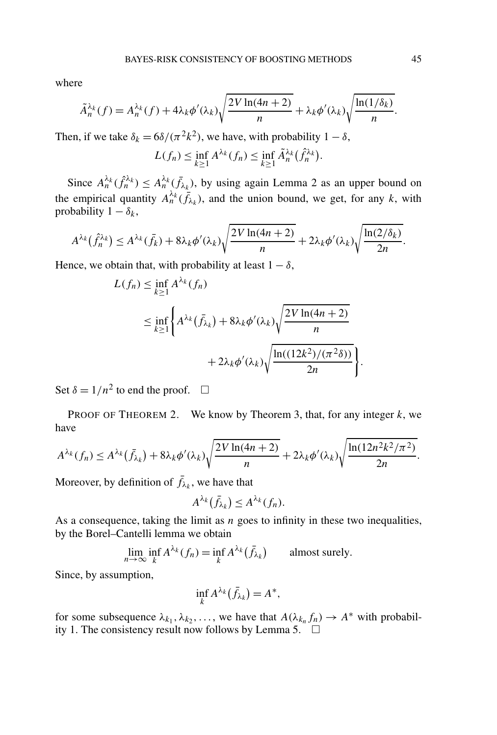where

$$
\tilde{A}_{n}^{\lambda_{k}}(f) = A_{n}^{\lambda_{k}}(f) + 4\lambda_{k}\phi'(\lambda_{k})\sqrt{\frac{2V\ln(4n+2)}{n}} + \lambda_{k}\phi'(\lambda_{k})\sqrt{\frac{\ln(1/\delta_{k})}{n}}.
$$

Then, if we take  $\delta_k = \frac{6\delta}{(\pi^2 k^2)}$ , we have, with probability  $1 - \delta$ ,

$$
L(f_n) \leq \inf_{k \geq 1} A^{\lambda_k}(f_n) \leq \inf_{k \geq 1} \tilde{A}_n^{\lambda_k}(\hat{f}_n^{\lambda_k}).
$$

Since  $A_n^{\lambda_k}(\hat{f}_n^{\lambda_k}) \leq A_n^{\lambda_k}(\bar{f}_{\lambda_k})$ , by using again Lemma 2 as an upper bound on the empirical quantity  $A_n^{\lambda_k}(\bar{f}_{\lambda_k})$ , and the union bound, we get, for any *k*, with probability  $1 - \delta_k$ ,

$$
A^{\lambda_k}(\hat{f}_n^{\lambda_k}) \le A^{\lambda_k}(\bar{f}_k) + 8\lambda_k \phi'(\lambda_k) \sqrt{\frac{2V\ln(4n+2)}{n}} + 2\lambda_k \phi'(\lambda_k) \sqrt{\frac{\ln(2/\delta_k)}{2n}}.
$$

Hence, we obtain that, with probability at least  $1 - \delta$ ,

$$
L(f_n) \le \inf_{k \ge 1} A^{\lambda_k}(f_n)
$$
  
\n
$$
\le \inf_{k \ge 1} \left\{ A^{\lambda_k}(\bar{f}_{\lambda_k}) + 8\lambda_k \phi'(\lambda_k) \sqrt{\frac{2V \ln(4n + 2)}{n}} + 2\lambda_k \phi'(\lambda_k) \sqrt{\frac{\ln((12k^2)/(\pi^2 \delta))}{2n}} \right\}.
$$

Set  $\delta = 1/n^2$  to end the proof.  $\square$ 

PROOF OF THEOREM 2. We know by Theorem 3, that, for any integer *k*, we have

$$
A^{\lambda_k}(f_n) \le A^{\lambda_k}(\bar{f}_{\lambda_k}) + 8\lambda_k \phi'(\lambda_k) \sqrt{\frac{2V\ln(4n+2)}{n}} + 2\lambda_k \phi'(\lambda_k) \sqrt{\frac{\ln(12n^2k^2/\pi^2)}{2n}}.
$$

Moreover, by definition of  $\bar{f}_{\lambda_k}$ , we have that

$$
A^{\lambda_k}(\bar{f}_{\lambda_k})\leq A^{\lambda_k}(f_n).
$$

As a consequence, taking the limit as *n* goes to infinity in these two inequalities, by the Borel–Cantelli lemma we obtain

$$
\lim_{n \to \infty} \inf_{k} A^{\lambda_k}(f_n) = \inf_{k} A^{\lambda_k}(\bar{f}_{\lambda_k}) \quad \text{almost surely.}
$$

Since, by assumption,

$$
\inf_k A^{\lambda_k}(\bar{f}_{\lambda_k}) = A^*,
$$

for some subsequence  $\lambda_{k_1}, \lambda_{k_2}, \ldots$ , we have that  $A(\lambda_{k_n}, f_n) \to A^*$  with probability 1. The consistency result now follows by Lemma 5.  $\Box$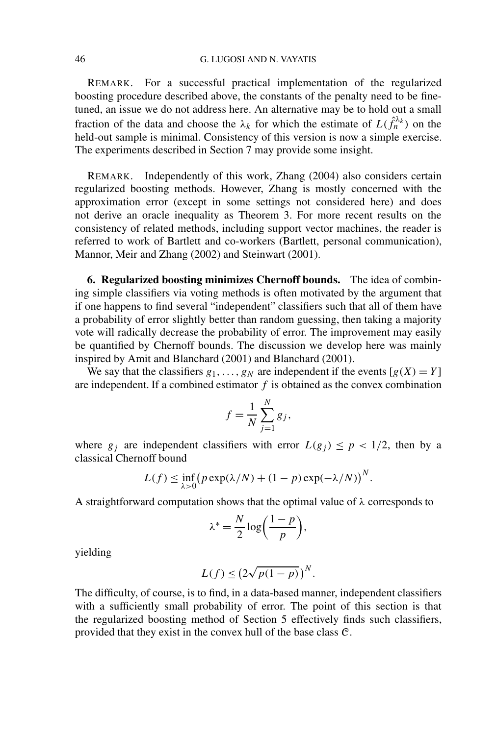REMARK. For a successful practical implementation of the regularized boosting procedure described above, the constants of the penalty need to be finetuned, an issue we do not address here. An alternative may be to hold out a small fraction of the data and choose the  $\lambda_k$  for which the estimate of  $L(\hat{f}_n^{\lambda_k})$  on the held-out sample is minimal. Consistency of this version is now a simple exercise. The experiments described in Section 7 may provide some insight.

REMARK. Independently of this work, Zhang (2004) also considers certain regularized boosting methods. However, Zhang is mostly concerned with the approximation error (except in some settings not considered here) and does not derive an oracle inequality as Theorem 3. For more recent results on the consistency of related methods, including support vector machines, the reader is referred to work of Bartlett and co-workers (Bartlett, personal communication), Mannor, Meir and Zhang (2002) and Steinwart (2001).

**6. Regularized boosting minimizes Chernoff bounds.** The idea of combining simple classifiers via voting methods is often motivated by the argument that if one happens to find several "independent" classifiers such that all of them have a probability of error slightly better than random guessing, then taking a majority vote will radically decrease the probability of error. The improvement may easily be quantified by Chernoff bounds. The discussion we develop here was mainly inspired by Amit and Blanchard (2001) and Blanchard (2001).

We say that the classifiers  $g_1, \ldots, g_N$  are independent if the events  $[g(X)] = Y$ are independent. If a combined estimator  $f$  is obtained as the convex combination

$$
f = \frac{1}{N} \sum_{j=1}^{N} g_j,
$$

where  $g_i$  are independent classifiers with error  $L(g_i) \leq p < 1/2$ , then by a classical Chernoff bound

$$
L(f) \le \inf_{\lambda>0} \bigl( p \exp(\lambda/N) + (1-p) \exp(-\lambda/N) \bigr)^N.
$$

A straightforward computation shows that the optimal value of *λ* corresponds to

$$
\lambda^* = \frac{N}{2} \log \left( \frac{1-p}{p} \right),
$$

yielding

$$
L(f) \le (2\sqrt{p(1-p)})^N.
$$

The difficulty, of course, is to find, in a data-based manner, independent classifiers with a sufficiently small probability of error. The point of this section is that the regularized boosting method of Section 5 effectively finds such classifiers, provided that they exist in the convex hull of the base class C.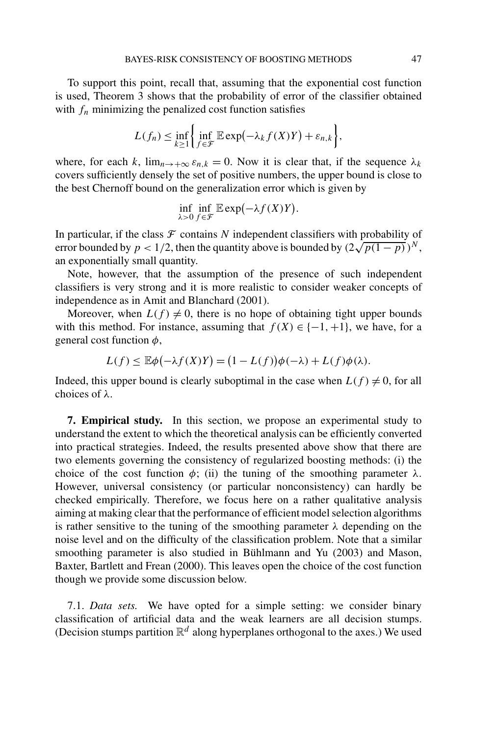To support this point, recall that, assuming that the exponential cost function is used, Theorem 3 shows that the probability of error of the classifier obtained with  $f_n$  minimizing the penalized cost function satisfies

$$
L(f_n) \leq \inf_{k \geq 1} \left\{ \inf_{f \in \mathcal{F}} \mathbb{E} \exp(-\lambda_k f(X)Y) + \varepsilon_{n,k} \right\},\,
$$

where, for each *k*,  $\lim_{n \to +\infty} \varepsilon_{n,k} = 0$ . Now it is clear that, if the sequence  $\lambda_k$ covers sufficiently densely the set of positive numbers, the upper bound is close to the best Chernoff bound on the generalization error which is given by

$$
\inf_{\lambda>0}\inf_{f\in\mathcal{F}}\mathbb{E}\exp(-\lambda f(X)Y).
$$

In particular, if the class  $\mathcal F$  contains  $N$  independent classifiers with probability of In particular, if the class *F* contains *N* independent classifiers with probability of error bounded by  $p < 1/2$ , then the quantity above is bounded by  $(2\sqrt{p(1-p)})^N$ , an exponentially small quantity.

Note, however, that the assumption of the presence of such independent classifiers is very strong and it is more realistic to consider weaker concepts of independence as in Amit and Blanchard (2001).

Moreover, when  $L(f) \neq 0$ , there is no hope of obtaining tight upper bounds with this method. For instance, assuming that  $f(X) \in \{-1, +1\}$ , we have, for a general cost function *φ*,

$$
L(f) \le \mathbb{E}\phi(-\lambda f(X)Y) = (1 - L(f))\phi(-\lambda) + L(f)\phi(\lambda).
$$

Indeed, this upper bound is clearly suboptimal in the case when  $L(f) \neq 0$ , for all choices of *λ*.

**7. Empirical study.** In this section, we propose an experimental study to understand the extent to which the theoretical analysis can be efficiently converted into practical strategies. Indeed, the results presented above show that there are two elements governing the consistency of regularized boosting methods: (i) the choice of the cost function  $\phi$ ; (ii) the tuning of the smoothing parameter  $\lambda$ . However, universal consistency (or particular nonconsistency) can hardly be checked empirically. Therefore, we focus here on a rather qualitative analysis aiming at making clear that the performance of efficient model selection algorithms is rather sensitive to the tuning of the smoothing parameter *λ* depending on the noise level and on the difficulty of the classification problem. Note that a similar smoothing parameter is also studied in Bühlmann and Yu (2003) and Mason, Baxter, Bartlett and Frean (2000). This leaves open the choice of the cost function though we provide some discussion below.

7.1. *Data sets.* We have opted for a simple setting: we consider binary classification of artificial data and the weak learners are all decision stumps. (Decision stumps partition  $\mathbb{R}^d$  along hyperplanes orthogonal to the axes.) We used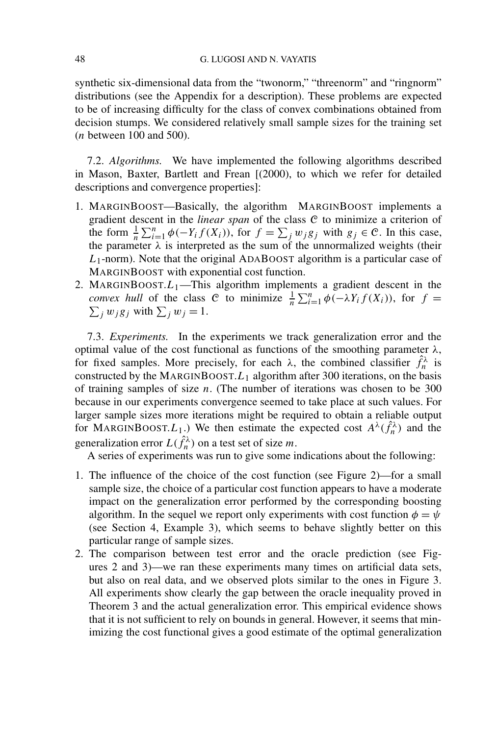synthetic six-dimensional data from the "twonorm," "threenorm" and "ringnorm" distributions (see the Appendix for a description). These problems are expected to be of increasing difficulty for the class of convex combinations obtained from decision stumps. We considered relatively small sample sizes for the training set (*n* between 100 and 500).

7.2. *Algorithms.* We have implemented the following algorithms described in Mason, Baxter, Bartlett and Frean [(2000), to which we refer for detailed descriptions and convergence properties]:

- 1. MARGINBOOST—Basically, the algorithm MARGINBOOST implements a gradient descent in the *linear span* of the class C to minimize a criterion of the form  $\frac{1}{n} \sum_{i=1}^{n} \phi(-Y_i f(X_i))$ , for  $f = \sum_j w_j g_j$  with  $g_j \in \mathcal{C}$ . In this case, the parameter  $\lambda$  is interpreted as the sum of the unnormalized weights (their *L*1-norm). Note that the original ADABOOST algorithm is a particular case of MARGINBOOST with exponential cost function.
- 2. MARGINBOOST. $L_1$ —This algorithm implements a gradient descent in the *convex hull* of the class C to minimize  $\frac{1}{n} \sum_{i=1}^{n} \phi(-\lambda Y_i f(X_i))$ , for  $f = \sum_{i} w_i g_i$  with  $\sum_{i} w_i = 1$ .  $\sum_j w_j g_j$  with  $\sum_j w_j = 1$ .

7.3. *Experiments.* In the experiments we track generalization error and the optimal value of the cost functional as functions of the smoothing parameter *λ*, for fixed samples. More precisely, for each  $\lambda$ , the combined classifier  $\hat{f}_n^{\lambda}$  is constructed by the MARGINBOOST. $L_1$  algorithm after 300 iterations, on the basis of training samples of size *n*. (The number of iterations was chosen to be 300 because in our experiments convergence seemed to take place at such values. For larger sample sizes more iterations might be required to obtain a reliable output for MARGINBOOST. $L_1$ .) We then estimate the expected cost  $A^{\lambda}(\hat{f}_n^{\lambda})$  and the generalization error  $L(\hat{f}_n^{\lambda})$  on a test set of size *m*.

A series of experiments was run to give some indications about the following:

- 1. The influence of the choice of the cost function (see Figure 2)—for a small sample size, the choice of a particular cost function appears to have a moderate impact on the generalization error performed by the corresponding boosting algorithm. In the sequel we report only experiments with cost function  $\phi = \psi$ (see Section 4, Example 3), which seems to behave slightly better on this particular range of sample sizes.
- 2. The comparison between test error and the oracle prediction (see Figures 2 and 3)—we ran these experiments many times on artificial data sets, but also on real data, and we observed plots similar to the ones in Figure 3. All experiments show clearly the gap between the oracle inequality proved in Theorem 3 and the actual generalization error. This empirical evidence shows that it is not sufficient to rely on bounds in general. However, it seems that minimizing the cost functional gives a good estimate of the optimal generalization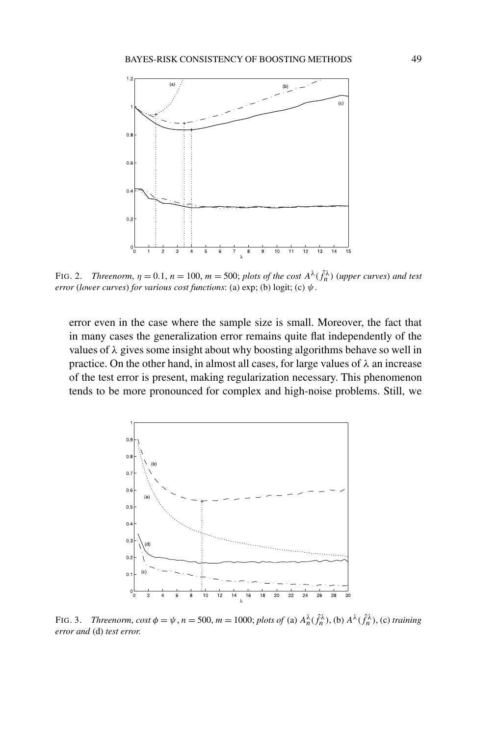

FIG. 2. *Threenorm*,  $\eta = 0.1$ ,  $n = 100$ ,  $m = 500$ ; *plots of the cost*  $A^{\lambda}(\hat{f}_n^{\lambda})$  (upper curves) and test *error* (*lower curves*) *for various cost functions*: (a) exp; (b) logit; (c) *ψ*.

error even in the case where the sample size is small. Moreover, the fact that in many cases the generalization error remains quite flat independently of the values of *λ* gives some insight about why boosting algorithms behave so well in practice. On the other hand, in almost all cases, for large values of *λ* an increase of the test error is present, making regularization necessary. This phenomenon tends to be more pronounced for complex and high-noise problems. Still, we



FIG. 3. Threenorm, cost  $\phi = \psi$ ,  $n = 500$ ,  $m = 1000$ ; plots of (a)  $A_n^{\lambda}(\hat{f}_n^{\lambda})$ , (b)  $A^{\lambda}(\hat{f}_n^{\lambda})$ , (c) training *error and* (d) *test error*.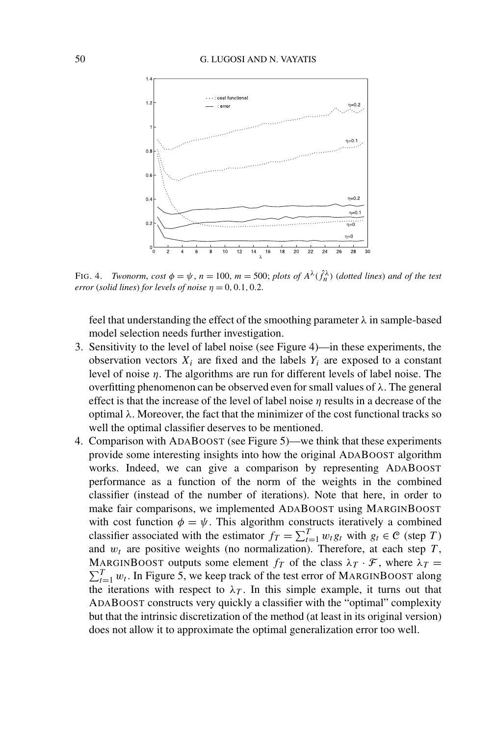

FIG. 4. *Twonorm, cost*  $\phi = \psi$ ,  $n = 100$ ,  $m = 500$ ; *plots of*  $A^{\lambda}(\hat{f}_n^{\lambda})$  (*dotted lines*) *and of the test error* (*solid lines*) *for levels of noise*  $\eta = 0, 0.1, 0.2$ .

feel that understanding the effect of the smoothing parameter *λ* in sample-based model selection needs further investigation.

- 3. Sensitivity to the level of label noise (see Figure 4)—in these experiments, the observation vectors  $X_i$  are fixed and the labels  $Y_i$  are exposed to a constant level of noise *η*. The algorithms are run for different levels of label noise. The overfitting phenomenon can be observed even for small values of *λ*. The general effect is that the increase of the level of label noise *η* results in a decrease of the optimal *λ*. Moreover, the fact that the minimizer of the cost functional tracks so well the optimal classifier deserves to be mentioned.
- 4. Comparison with ADABOOST (see Figure 5)—we think that these experiments provide some interesting insights into how the original ADABOOST algorithm works. Indeed, we can give a comparison by representing ADABOOST performance as a function of the norm of the weights in the combined classifier (instead of the number of iterations). Note that here, in order to make fair comparisons, we implemented ADABOOST using MARGINBOOST with cost function  $\phi = \psi$ . This algorithm constructs iteratively a combined classifier associated with the estimator  $f_T = \sum_{t=1}^T w_t g_t$  with  $g_t \in \mathcal{C}$  (step *T*) and  $w_t$  are positive weights (no normalization). Therefore, at each step  $T$ , MARGINBOOST outputs some element  $f_T$  of the class  $\lambda_T \cdot \mathcal{F}$ , where  $\lambda_T =$  $T_{t=1}$   $w_t$ . In Figure 5, we keep track of the test error of MARGINBOOST along the iterations with respect to  $\lambda_T$ . In this simple example, it turns out that ADABOOST constructs very quickly a classifier with the "optimal" complexity but that the intrinsic discretization of the method (at least in its original version) does not allow it to approximate the optimal generalization error too well.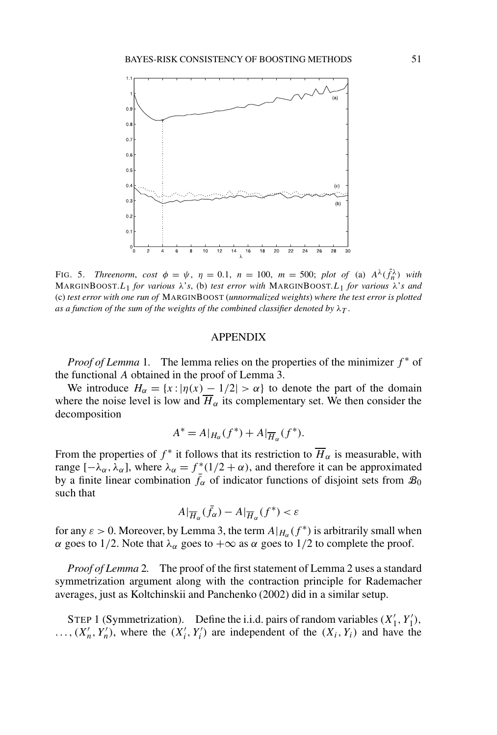

FIG. 5. *Threenorm*, *cost*  $\phi = \psi$ ,  $\eta = 0.1$ ,  $n = 100$ ,  $m = 500$ ; *plot of* (a)  $A^{\lambda}(\hat{f}_n^{\lambda})$  with MARGINBOOST.*L*1 *for various λ*'*s*, (b) *test error with* MARGINBOOST.*L*1 *for various λ*'*s and* (c) *test error with one run of* MARGINBOOST (*unnormalized weights*) *where the test error is plotted as a function of the sum of the weights of the combined classifier denoted by*  $\lambda_T$ .

## APPENDIX

*Proof of Lemma* 1. The lemma relies on the properties of the minimizer  $f^*$  of the functional *A* obtained in the proof of Lemma 3.

We introduce  $H_{\alpha} = \{x : |\eta(x) - 1/2| > \alpha\}$  to denote the part of the domain where the noise level is low and  $\overline{H}_{\alpha}$  its complementary set. We then consider the decomposition

$$
A^* = A|_{H_\alpha}(f^*) + A|_{\overline{H}_\alpha}(f^*).
$$

From the properties of  $f^*$  it follows that its restriction to  $\overline{H}_{\alpha}$  is measurable, with range  $[-\lambda_{\alpha}, \lambda_{\alpha}]$ , where  $\lambda_{\alpha} = f^*(1/2 + \alpha)$ , and therefore it can be approximated by a finite linear combination  $\bar{f}_{\alpha}$  of indicator functions of disjoint sets from  $\mathcal{B}_0$ such that

$$
A|_{\overline{H}_\alpha}(\bar{f}_\alpha)-A|_{\overline{H}_\alpha}(f^*)<\varepsilon
$$

for any  $\varepsilon > 0$ . Moreover, by Lemma 3, the term  $A|_{H_{\alpha}}(f^*)$  is arbitrarily small when *α* goes to 1/2. Note that  $λ_α$  goes to  $+∞$  as *α* goes to 1/2 to complete the proof.

*Proof of Lemma* 2*.* The proof of the first statement of Lemma 2 uses a standard symmetrization argument along with the contraction principle for Rademacher averages, just as Koltchinskii and Panchenko (2002) did in a similar setup.

STEP 1 (Symmetrization). Define the i.i.d. pairs of random variables  $(X'_1, Y'_1)$ ,  $\ldots$ ,  $(X'_n, Y'_n)$ , where the  $(X'_i, Y'_i)$  are independent of the  $(X_i, Y_i)$  and have the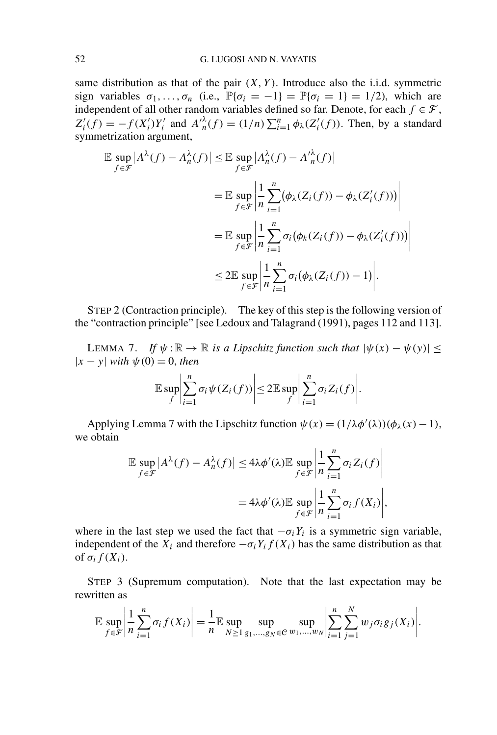same distribution as that of the pair  $(X, Y)$ . Introduce also the i.i.d. symmetric sign variables  $\sigma_1, \ldots, \sigma_n$  (i.e.,  $\mathbb{P}\{\sigma_i = -1\} = \mathbb{P}\{\sigma_i = 1\} = 1/2$ ), which are independent of all other random variables defined so far. Denote, for each  $f \in \mathcal{F}$ ,  $Z_i'(f) = -f(X_i')Y_i'$  and  $A_{n}(\lambda f) = (1/n)\sum_{i=1}^{n} \phi_{\lambda}(Z_i'(f))$ . Then, by a standard symmetrization argument,

$$
\mathbb{E} \sup_{f \in \mathcal{F}} |A^{\lambda}(f) - A^{\lambda}_{n}(f)| \leq \mathbb{E} \sup_{f \in \mathcal{F}} |A^{\lambda}_{n}(f) - A'^{\lambda}_{n}(f)|
$$
\n
$$
= \mathbb{E} \sup_{f \in \mathcal{F}} \left| \frac{1}{n} \sum_{i=1}^{n} (\phi_{\lambda}(Z_{i}(f)) - \phi_{\lambda}(Z'_{i}(f))) \right|
$$
\n
$$
= \mathbb{E} \sup_{f \in \mathcal{F}} \left| \frac{1}{n} \sum_{i=1}^{n} \sigma_{i} (\phi_{k}(Z_{i}(f)) - \phi_{\lambda}(Z'_{i}(f))) \right|
$$
\n
$$
\leq 2 \mathbb{E} \sup_{f \in \mathcal{F}} \left| \frac{1}{n} \sum_{i=1}^{n} \sigma_{i} (\phi_{\lambda}(Z_{i}(f)) - 1) \right|.
$$

STEP 2 (Contraction principle). The key of this step is the following version of the "contraction principle" [see Ledoux and Talagrand (1991), pages 112 and 113].

LEMMA 7. *If*  $\psi : \mathbb{R} \to \mathbb{R}$  *is a Lipschitz function such that*  $|\psi(x) - \psi(y)| \le$  $|x - y|$  *with*  $\psi(0) = 0$ *, then* 

$$
\mathbb{E}\sup_{f}\left|\sum_{i=1}^{n}\sigma_{i}\psi(Z_{i}(f))\right|\leq 2\mathbb{E}\sup_{f}\left|\sum_{i=1}^{n}\sigma_{i}Z_{i}(f)\right|.
$$

Applying Lemma 7 with the Lipschitz function  $\psi(x) = (1/\lambda \phi'(\lambda))(\phi_{\lambda}(x) - 1)$ , we obtain

$$
\mathbb{E} \sup_{f \in \mathcal{F}} |A^{\lambda}(f) - A^{\lambda}_{n}(f)| \leq 4\lambda \phi'(\lambda) \mathbb{E} \sup_{f \in \mathcal{F}} \left| \frac{1}{n} \sum_{i=1}^{n} \sigma_{i} Z_{i}(f) \right|
$$

$$
= 4\lambda \phi'(\lambda) \mathbb{E} \sup_{f \in \mathcal{F}} \left| \frac{1}{n} \sum_{i=1}^{n} \sigma_{i} f(X_{i}) \right|,
$$

where in the last step we used the fact that  $-\sigma_iY_i$  is a symmetric sign variable, independent of the  $\overline{X}_i$  and therefore  $-\sigma_i Y_i f(X_i)$  has the same distribution as that of  $\sigma_i f(X_i)$ .

STEP 3 (Supremum computation). Note that the last expectation may be rewritten as

$$
\mathbb{E} \sup_{f \in \mathcal{F}} \left| \frac{1}{n} \sum_{i=1}^{n} \sigma_i f(X_i) \right| = \frac{1}{n} \mathbb{E} \sup_{N \geq 1} \sup_{g_1, \dots, g_N \in \mathcal{C}} \sup_{w_1, \dots, w_N} \left| \sum_{i=1}^{n} \sum_{j=1}^{N} w_j \sigma_i g_j(X_i) \right|.
$$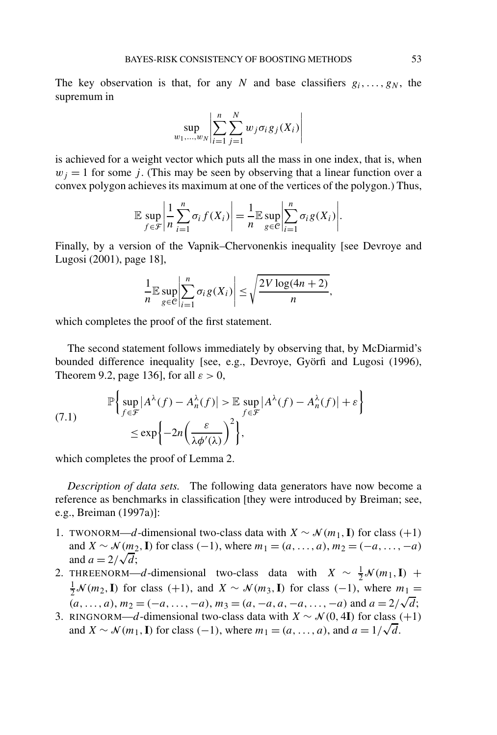The key observation is that, for any *N* and base classifiers  $g_i, \ldots, g_N$ , the supremum in

$$
\sup_{w_1,\ldots,w_N}\left|\sum_{i=1}^n\sum_{j=1}^N w_j\sigma_ig_j(X_i)\right|
$$

is achieved for a weight vector which puts all the mass in one index, that is, when  $w_j = 1$  for some *j*. (This may be seen by observing that a linear function over a convex polygon achieves its maximum at one of the vertices of the polygon.) Thus,

$$
\mathbb{E}\sup_{f\in\mathcal{F}}\left|\frac{1}{n}\sum_{i=1}^n\sigma_i f(X_i)\right|=\frac{1}{n}\mathbb{E}\sup_{g\in\mathcal{C}}\left|\sum_{i=1}^n\sigma_i g(X_i)\right|.
$$

Finally, by a version of the Vapnik–Chervonenkis inequality [see Devroye and Lugosi (2001), page 18],

$$
\frac{1}{n} \mathbb{E} \sup_{g \in \mathcal{C}} \left| \sum_{i=1}^{n} \sigma_i g(X_i) \right| \leq \sqrt{\frac{2V \log(4n + 2)}{n}},
$$

which completes the proof of the first statement.

The second statement follows immediately by observing that, by McDiarmid's bounded difference inequality [see, e.g., Devroye, Györfi and Lugosi (1996), Theorem 9.2, page 136], for all *ε >* 0,

(7.1) 
$$
\mathbb{P}\left\{\sup_{f \in \mathcal{F}} |A^{\lambda}(f) - A^{\lambda}_{n}(f)| > \mathbb{E}\sup_{f \in \mathcal{F}} |A^{\lambda}(f) - A^{\lambda}_{n}(f)| + \varepsilon\right\} \le \exp\left\{-2n\left(\frac{\varepsilon}{\lambda \phi'(\lambda)}\right)^{2}\right\},
$$

which completes the proof of Lemma 2.

*Description of data sets.* The following data generators have now become a reference as benchmarks in classification [they were introduced by Breiman; see, e.g., Breiman (1997a)]:

- 1. TWONORM—*d*-dimensional two-class data with  $X \sim \mathcal{N}(m_1, \mathbf{I})$  for class (+1) and *X* ~  $\mathcal{N}(m_2, \mathbf{I})$  for class  $(-1)$ , where  $m_1 = (a, \ldots, a), m_2 = (-a, \ldots, -a)$ and  $\alpha \sim N(m_2)$ <br>and  $a = 2/\sqrt{d}$ ;
- 2. THREENORM—*d*-dimensional two-class data with  $X \sim \frac{1}{2} \mathcal{N}(m_1, \mathbf{I})$  +  $\frac{1}{2}$  N (*m*<sub>2</sub>, **I**) for class (+1), and *X* ∼ N (*m*<sub>3</sub>, **I**) for class (−1), where *m*<sub>1</sub> =  $\frac{1}{2}$  *o (m*<sub>2</sub>, **i**) for class (+1), and  $X \sim N$  *(m*<sub>3</sub>, **i**) for class (-1), where  $m_1 =$ <br> $(a, ..., a), m_2 = (-a, ..., -a), m_3 = (a, -a, a, -a, ..., -a)$  and  $a = 2/\sqrt{d}$ ;
- 3. RINGNORM—*d*-dimensional two-class data with  $X \sim \mathcal{N}(0, 4\mathbf{I})$  for class (+1) RINGNORM—*d*-dimensional two-class data with  $X \sim N(0, 41)$  for class  $\alpha$  and  $X \sim N(m_1, I)$  for class  $(-1)$ , where  $m_1 = (a, ..., a)$ , and  $a = 1/\sqrt{d}$ .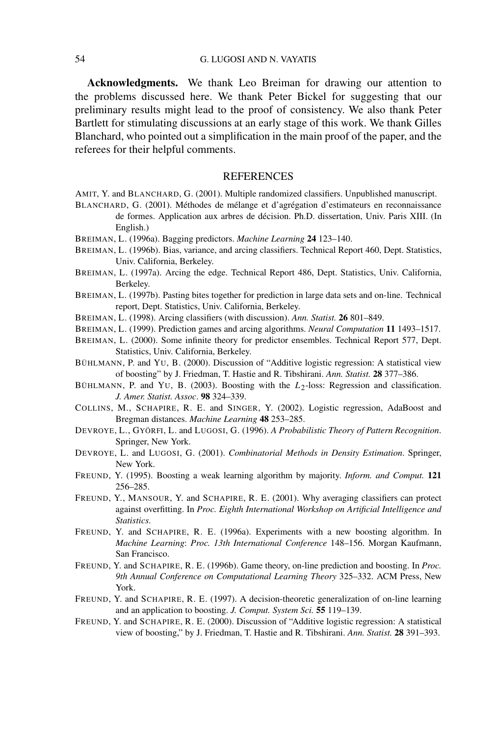**Acknowledgments.** We thank Leo Breiman for drawing our attention to the problems discussed here. We thank Peter Bickel for suggesting that our preliminary results might lead to the proof of consistency. We also thank Peter Bartlett for stimulating discussions at an early stage of this work. We thank Gilles Blanchard, who pointed out a simplification in the main proof of the paper, and the referees for their helpful comments.

## **REFERENCES**

- AMIT, Y. and BLANCHARD, G. (2001). Multiple randomized classifiers. Unpublished manuscript.
- BLANCHARD, G. (2001). Méthodes de mélange et d'agrégation d'estimateurs en reconnaissance de formes. Application aux arbres de décision. Ph.D. dissertation, Univ. Paris XIII. (In English.)
- BREIMAN, L. (1996a). Bagging predictors. *Machine Learning* **24** 123–140.
- BREIMAN, L. (1996b). Bias, variance, and arcing classifiers. Technical Report 460, Dept. Statistics, Univ. California, Berkeley.
- BREIMAN, L. (1997a). Arcing the edge. Technical Report 486, Dept. Statistics, Univ. California, Berkeley.
- BREIMAN, L. (1997b). Pasting bites together for prediction in large data sets and on-line. Technical report, Dept. Statistics, Univ. California, Berkeley.
- BREIMAN, L. (1998). Arcing classifiers (with discussion). *Ann. Statist.* **26** 801–849.
- BREIMAN, L. (1999). Prediction games and arcing algorithms. *Neural Computation* **11** 1493–1517.
- BREIMAN, L. (2000). Some infinite theory for predictor ensembles. Technical Report 577, Dept. Statistics, Univ. California, Berkeley.
- BÜHLMANN, P. and YU, B. (2000). Discussion of "Additive logistic regression: A statistical view of boosting" by J. Friedman, T. Hastie and R. Tibshirani. *Ann. Statist.* **28** 377–386.
- BÜHLMANN, P. and YU, B. (2003). Boosting with the *L*2-loss: Regression and classification. *J. Amer. Statist. Assoc*. **98** 324–339.
- COLLINS, M., SCHAPIRE, R. E. and SINGER, Y. (2002). Logistic regression, AdaBoost and Bregman distances. *Machine Learning* **48** 253–285.
- DEVROYE, L., GYÖRFI, L. and LUGOSI, G. (1996). *A Probabilistic Theory of Pattern Recognition*. Springer, New York.
- DEVROYE, L. and LUGOSI, G. (2001). *Combinatorial Methods in Density Estimation*. Springer, New York.
- FREUND, Y. (1995). Boosting a weak learning algorithm by majority. *Inform. and Comput.* **121** 256–285.
- FREUND, Y., MANSOUR, Y. and SCHAPIRE, R. E. (2001). Why averaging classifiers can protect against overfitting. In *Proc. Eighth International Workshop on Artificial Intelligence and Statistics*.
- FREUND, Y. and SCHAPIRE, R. E. (1996a). Experiments with a new boosting algorithm. In *Machine Learning*: *Proc. 13th International Conference* 148–156. Morgan Kaufmann, San Francisco.
- FREUND, Y. and SCHAPIRE, R. E. (1996b). Game theory, on-line prediction and boosting. In *Proc. 9th Annual Conference on Computational Learning Theory* 325–332. ACM Press, New York.
- FREUND, Y. and SCHAPIRE, R. E. (1997). A decision-theoretic generalization of on-line learning and an application to boosting. *J. Comput. System Sci.* **55** 119–139.
- FREUND, Y. and SCHAPIRE, R. E. (2000). Discussion of "Additive logistic regression: A statistical view of boosting," by J. Friedman, T. Hastie and R. Tibshirani. *Ann. Statist.* **28** 391–393.